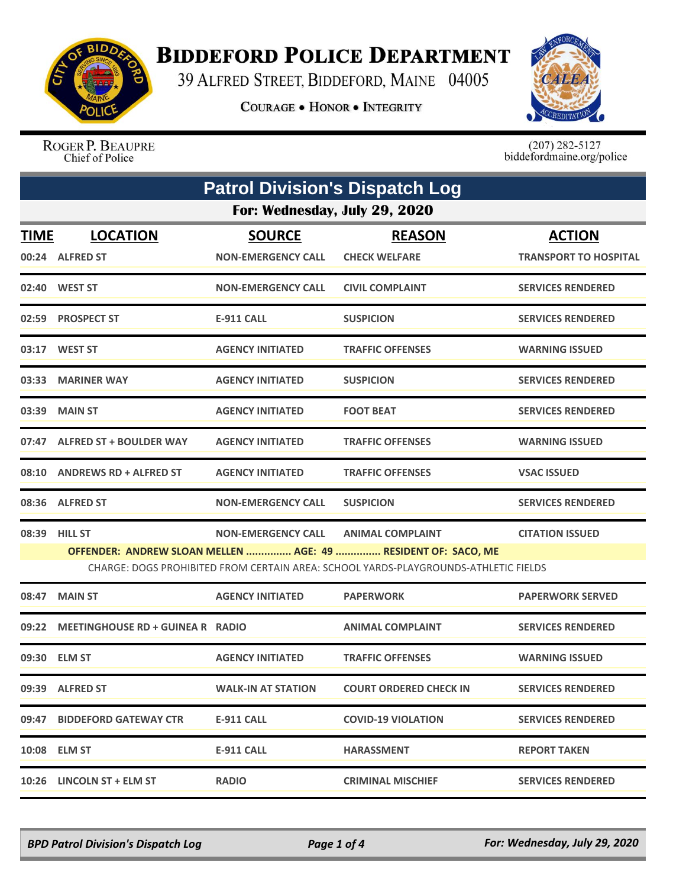

## **BIDDEFORD POLICE DEPARTMENT**

39 ALFRED STREET, BIDDEFORD, MAINE 04005

**COURAGE . HONOR . INTEGRITY** 



ROGER P. BEAUPRE Chief of Police

 $(207)$  282-5127<br>biddefordmaine.org/police

| <b>Patrol Division's Dispatch Log</b> |                                    |                                            |                                                                                                                                                                                 |                                               |  |
|---------------------------------------|------------------------------------|--------------------------------------------|---------------------------------------------------------------------------------------------------------------------------------------------------------------------------------|-----------------------------------------------|--|
| For: Wednesday, July 29, 2020         |                                    |                                            |                                                                                                                                                                                 |                                               |  |
| <b>TIME</b>                           | <b>LOCATION</b><br>00:24 ALFRED ST | <b>SOURCE</b><br><b>NON-EMERGENCY CALL</b> | <b>REASON</b><br><b>CHECK WELFARE</b>                                                                                                                                           | <b>ACTION</b><br><b>TRANSPORT TO HOSPITAL</b> |  |
|                                       | 02:40 WEST ST                      | <b>NON-EMERGENCY CALL</b>                  | <b>CIVIL COMPLAINT</b>                                                                                                                                                          | <b>SERVICES RENDERED</b>                      |  |
|                                       | 02:59 PROSPECT ST                  | E-911 CALL                                 | <b>SUSPICION</b>                                                                                                                                                                | <b>SERVICES RENDERED</b>                      |  |
|                                       | 03:17 WEST ST                      | <b>AGENCY INITIATED</b>                    | <b>TRAFFIC OFFENSES</b>                                                                                                                                                         | <b>WARNING ISSUED</b>                         |  |
|                                       | 03:33 MARINER WAY                  | <b>AGENCY INITIATED</b>                    | <b>SUSPICION</b>                                                                                                                                                                | <b>SERVICES RENDERED</b>                      |  |
| 03:39                                 | <b>MAIN ST</b>                     | <b>AGENCY INITIATED</b>                    | <b>FOOT BEAT</b>                                                                                                                                                                | <b>SERVICES RENDERED</b>                      |  |
|                                       | 07:47 ALFRED ST + BOULDER WAY      | <b>AGENCY INITIATED</b>                    | <b>TRAFFIC OFFENSES</b>                                                                                                                                                         | <b>WARNING ISSUED</b>                         |  |
|                                       | 08:10 ANDREWS RD + ALFRED ST       | <b>AGENCY INITIATED</b>                    | <b>TRAFFIC OFFENSES</b>                                                                                                                                                         | <b>VSAC ISSUED</b>                            |  |
|                                       | 08:36 ALFRED ST                    | <b>NON-EMERGENCY CALL</b>                  | <b>SUSPICION</b>                                                                                                                                                                | <b>SERVICES RENDERED</b>                      |  |
|                                       | 08:39 HILL ST                      | <b>NON-EMERGENCY CALL</b>                  | <b>ANIMAL COMPLAINT</b><br>OFFENDER: ANDREW SLOAN MELLEN  AGE: 49  RESIDENT OF: SACO, ME<br>CHARGE: DOGS PROHIBITED FROM CERTAIN AREA: SCHOOL YARDS-PLAYGROUNDS-ATHLETIC FIELDS | <b>CITATION ISSUED</b>                        |  |
| 08:47                                 | <b>MAIN ST</b>                     | <b>AGENCY INITIATED</b>                    | <b>PAPERWORK</b>                                                                                                                                                                | <b>PAPERWORK SERVED</b>                       |  |
| 09:22                                 | MEETINGHOUSE RD + GUINEA R RADIO   |                                            | <b>ANIMAL COMPLAINT</b>                                                                                                                                                         | <b>SERVICES RENDERED</b>                      |  |
|                                       | 09:30 ELM ST                       | <b>AGENCY INITIATED</b>                    | <b>TRAFFIC OFFENSES</b>                                                                                                                                                         | <b>WARNING ISSUED</b>                         |  |
|                                       | 09:39 ALFRED ST                    | <b>WALK-IN AT STATION</b>                  | <b>COURT ORDERED CHECK IN</b>                                                                                                                                                   | <b>SERVICES RENDERED</b>                      |  |
|                                       | 09:47 BIDDEFORD GATEWAY CTR        | <b>E-911 CALL</b>                          | <b>COVID-19 VIOLATION</b>                                                                                                                                                       | <b>SERVICES RENDERED</b>                      |  |
|                                       | 10:08 ELM ST                       | <b>E-911 CALL</b>                          | <b>HARASSMENT</b>                                                                                                                                                               | <b>REPORT TAKEN</b>                           |  |
|                                       | 10:26 LINCOLN ST + ELM ST          | <b>RADIO</b>                               | <b>CRIMINAL MISCHIEF</b>                                                                                                                                                        | <b>SERVICES RENDERED</b>                      |  |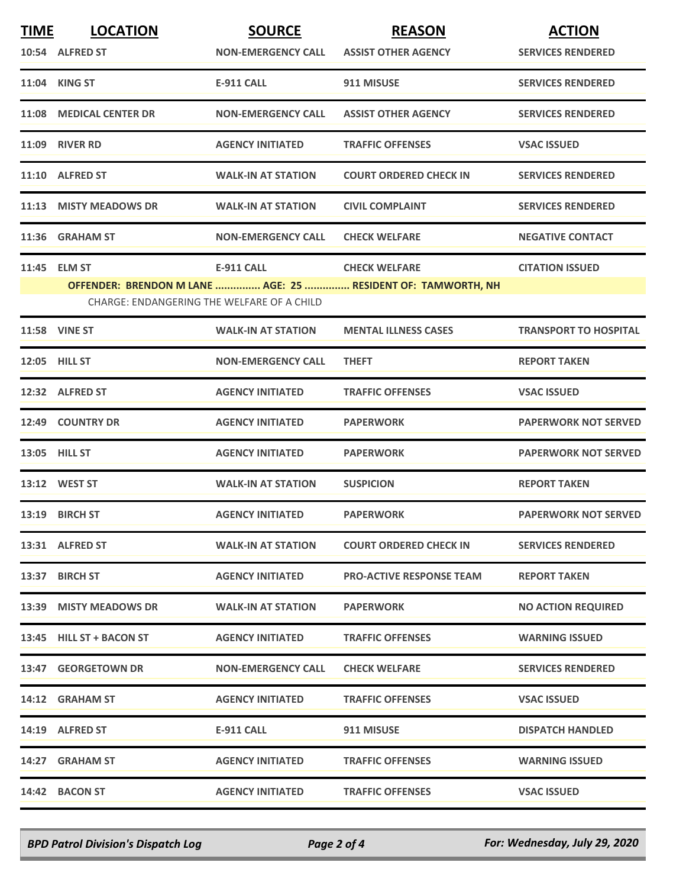| <b>TIME</b> | <b>LOCATION</b>                            | <b>SOURCE</b>             | <b>REASON</b>                                                | <b>ACTION</b>                |
|-------------|--------------------------------------------|---------------------------|--------------------------------------------------------------|------------------------------|
|             | 10:54 ALFRED ST                            | <b>NON-EMERGENCY CALL</b> | <b>ASSIST OTHER AGENCY</b>                                   | <b>SERVICES RENDERED</b>     |
|             | 11:04 KING ST                              | <b>E-911 CALL</b>         | 911 MISUSE                                                   | <b>SERVICES RENDERED</b>     |
|             | 11:08 MEDICAL CENTER DR                    | <b>NON-EMERGENCY CALL</b> | <b>ASSIST OTHER AGENCY</b>                                   | <b>SERVICES RENDERED</b>     |
|             | 11:09 RIVER RD                             | <b>AGENCY INITIATED</b>   | <b>TRAFFIC OFFENSES</b>                                      | <b>VSAC ISSUED</b>           |
|             | 11:10 ALFRED ST                            | <b>WALK-IN AT STATION</b> | <b>COURT ORDERED CHECK IN</b>                                | <b>SERVICES RENDERED</b>     |
|             | 11:13 MISTY MEADOWS DR                     | <b>WALK-IN AT STATION</b> | <b>CIVIL COMPLAINT</b>                                       | <b>SERVICES RENDERED</b>     |
|             | 11:36 GRAHAM ST                            | <b>NON-EMERGENCY CALL</b> | <b>CHECK WELFARE</b>                                         | <b>NEGATIVE CONTACT</b>      |
|             | 11:45 ELM ST                               | <b>E-911 CALL</b>         | <b>CHECK WELFARE</b>                                         | <b>CITATION ISSUED</b>       |
|             |                                            |                           | OFFENDER: BRENDON M LANE  AGE: 25  RESIDENT OF: TAMWORTH, NH |                              |
|             | CHARGE: ENDANGERING THE WELFARE OF A CHILD |                           |                                                              |                              |
|             | 11:58 VINE ST                              | <b>WALK-IN AT STATION</b> | <b>MENTAL ILLNESS CASES</b>                                  | <b>TRANSPORT TO HOSPITAL</b> |
|             | 12:05 HILL ST                              | <b>NON-EMERGENCY CALL</b> | <b>THEFT</b>                                                 | <b>REPORT TAKEN</b>          |
|             | 12:32 ALFRED ST                            | <b>AGENCY INITIATED</b>   | <b>TRAFFIC OFFENSES</b>                                      | <b>VSAC ISSUED</b>           |
|             | 12:49 COUNTRY DR                           | <b>AGENCY INITIATED</b>   | <b>PAPERWORK</b>                                             | <b>PAPERWORK NOT SERVED</b>  |
|             | 13:05 HILL ST                              | <b>AGENCY INITIATED</b>   | <b>PAPERWORK</b>                                             | <b>PAPERWORK NOT SERVED</b>  |
|             | 13:12 WEST ST                              | <b>WALK-IN AT STATION</b> | <b>SUSPICION</b>                                             | <b>REPORT TAKEN</b>          |
|             | 13:19 BIRCH ST                             | <b>AGENCY INITIATED</b>   | <b>PAPERWORK</b>                                             | <b>PAPERWORK NOT SERVED</b>  |
|             | 13:31 ALFRED ST                            | <b>WALK-IN AT STATION</b> | <b>COURT ORDERED CHECK IN</b>                                | <b>SERVICES RENDERED</b>     |
|             | 13:37 BIRCH ST                             | <b>AGENCY INITIATED</b>   | <b>PRO-ACTIVE RESPONSE TEAM</b>                              | <b>REPORT TAKEN</b>          |
|             | 13:39 MISTY MEADOWS DR                     | <b>WALK-IN AT STATION</b> | <b>PAPERWORK</b>                                             | <b>NO ACTION REQUIRED</b>    |
|             | 13:45 HILL ST + BACON ST                   | <b>AGENCY INITIATED</b>   | <b>TRAFFIC OFFENSES</b>                                      | <b>WARNING ISSUED</b>        |
|             | 13:47 GEORGETOWN DR                        | <b>NON-EMERGENCY CALL</b> | <b>CHECK WELFARE</b>                                         | <b>SERVICES RENDERED</b>     |
|             | 14:12 GRAHAM ST                            | <b>AGENCY INITIATED</b>   | <b>TRAFFIC OFFENSES</b>                                      | <b>VSAC ISSUED</b>           |
|             | 14:19 ALFRED ST                            | E-911 CALL                | 911 MISUSE                                                   | <b>DISPATCH HANDLED</b>      |
|             | 14:27 GRAHAM ST                            | <b>AGENCY INITIATED</b>   | <b>TRAFFIC OFFENSES</b>                                      | <b>WARNING ISSUED</b>        |
|             | 14:42 BACON ST                             | <b>AGENCY INITIATED</b>   | <b>TRAFFIC OFFENSES</b>                                      | <b>VSAC ISSUED</b>           |

*BPD Patrol Division's Dispatch Log Page 2 of 4 For: Wednesday, July 29, 2020*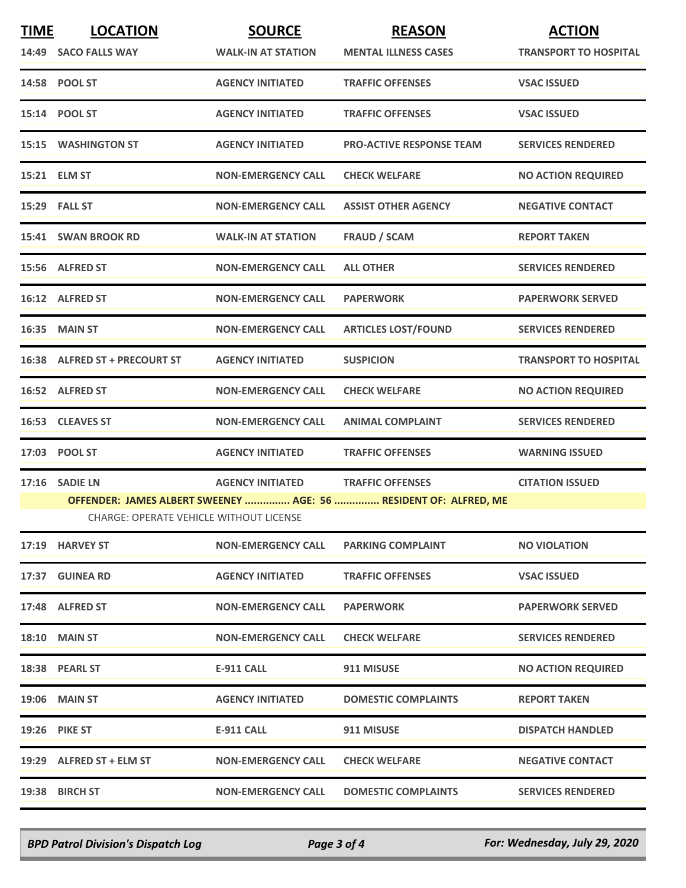| <b>TIME</b> | <b>LOCATION</b><br>14:49 SACO FALLS WAY | <b>SOURCE</b><br><b>WALK-IN AT STATION</b> | <b>REASON</b><br><b>MENTAL ILLNESS CASES</b>                     | <b>ACTION</b><br><b>TRANSPORT TO HOSPITAL</b> |
|-------------|-----------------------------------------|--------------------------------------------|------------------------------------------------------------------|-----------------------------------------------|
|             | 14:58 POOL ST                           | <b>AGENCY INITIATED</b>                    | <b>TRAFFIC OFFENSES</b>                                          | <b>VSAC ISSUED</b>                            |
|             | 15:14 POOL ST                           | <b>AGENCY INITIATED</b>                    | <b>TRAFFIC OFFENSES</b>                                          | <b>VSAC ISSUED</b>                            |
|             | <b>15:15 WASHINGTON ST</b>              | <b>AGENCY INITIATED</b>                    | <b>PRO-ACTIVE RESPONSE TEAM</b>                                  | <b>SERVICES RENDERED</b>                      |
|             | 15:21 ELM ST                            | <b>NON-EMERGENCY CALL</b>                  | <b>CHECK WELFARE</b>                                             | <b>NO ACTION REQUIRED</b>                     |
|             | <b>15:29 FALL ST</b>                    | <b>NON-EMERGENCY CALL</b>                  | <b>ASSIST OTHER AGENCY</b>                                       | <b>NEGATIVE CONTACT</b>                       |
|             | 15:41 SWAN BROOK RD                     | <b>WALK-IN AT STATION</b>                  | <b>FRAUD / SCAM</b>                                              | <b>REPORT TAKEN</b>                           |
|             | 15:56 ALFRED ST                         | <b>NON-EMERGENCY CALL</b>                  | <b>ALL OTHER</b>                                                 | <b>SERVICES RENDERED</b>                      |
|             | 16:12 ALFRED ST                         | <b>NON-EMERGENCY CALL</b>                  | <b>PAPERWORK</b>                                                 | <b>PAPERWORK SERVED</b>                       |
|             | <b>16:35 MAIN ST</b>                    | <b>NON-EMERGENCY CALL</b>                  | <b>ARTICLES LOST/FOUND</b>                                       | <b>SERVICES RENDERED</b>                      |
|             | 16:38 ALFRED ST + PRECOURT ST           | <b>AGENCY INITIATED</b>                    | <b>SUSPICION</b>                                                 | <b>TRANSPORT TO HOSPITAL</b>                  |
|             | 16:52 ALFRED ST                         | <b>NON-EMERGENCY CALL</b>                  | <b>CHECK WELFARE</b>                                             | <b>NO ACTION REQUIRED</b>                     |
|             | 16:53 CLEAVES ST                        | <b>NON-EMERGENCY CALL</b>                  | <b>ANIMAL COMPLAINT</b>                                          | <b>SERVICES RENDERED</b>                      |
|             | 17:03 POOL ST                           | <b>AGENCY INITIATED</b>                    | <b>TRAFFIC OFFENSES</b>                                          | <b>WARNING ISSUED</b>                         |
|             | 17:16 SADIE LN                          | <b>AGENCY INITIATED</b>                    | <b>TRAFFIC OFFENSES</b>                                          | <b>CITATION ISSUED</b>                        |
|             | CHARGE: OPERATE VEHICLE WITHOUT LICENSE |                                            | OFFENDER: JAMES ALBERT SWEENEY  AGE: 56  RESIDENT OF: ALFRED, ME |                                               |
|             | 17:19 HARVEY ST                         | <b>NON-EMERGENCY CALL</b>                  | <b>PARKING COMPLAINT</b>                                         | <b>NO VIOLATION</b>                           |
|             | 17:37 GUINEA RD                         | <b>AGENCY INITIATED</b>                    | <b>TRAFFIC OFFENSES</b>                                          | <b>VSAC ISSUED</b>                            |
|             | 17:48 ALFRED ST                         | <b>NON-EMERGENCY CALL</b>                  | <b>PAPERWORK</b>                                                 | <b>PAPERWORK SERVED</b>                       |
|             | <b>18:10 MAIN ST</b>                    | <b>NON-EMERGENCY CALL</b>                  | <b>CHECK WELFARE</b>                                             | <b>SERVICES RENDERED</b>                      |
|             | 18:38 PEARL ST                          | E-911 CALL                                 | 911 MISUSE                                                       | <b>NO ACTION REQUIRED</b>                     |
|             | 19:06 MAIN ST                           | <b>AGENCY INITIATED</b>                    | <b>DOMESTIC COMPLAINTS</b>                                       | <b>REPORT TAKEN</b>                           |
|             | 19:26 PIKE ST                           | <b>E-911 CALL</b>                          | 911 MISUSE                                                       | <b>DISPATCH HANDLED</b>                       |
|             | 19:29 ALFRED ST + ELM ST                | <b>NON-EMERGENCY CALL</b>                  | <b>CHECK WELFARE</b>                                             | <b>NEGATIVE CONTACT</b>                       |
|             | 19:38 BIRCH ST                          | <b>NON-EMERGENCY CALL</b>                  | <b>DOMESTIC COMPLAINTS</b>                                       | <b>SERVICES RENDERED</b>                      |

*BPD Patrol Division's Dispatch Log Page 3 of 4 For: Wednesday, July 29, 2020*